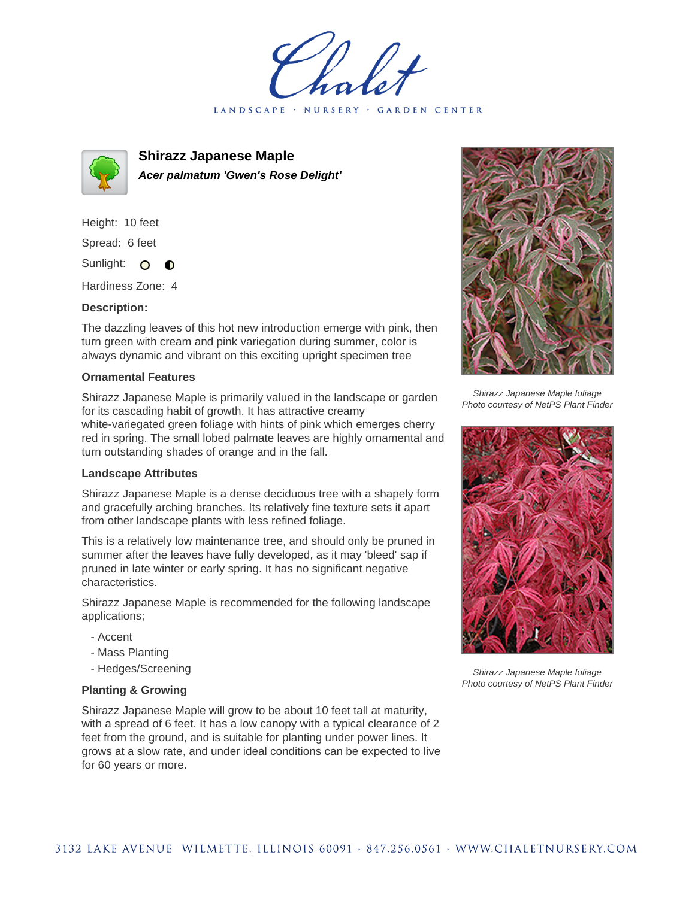LANDSCAPE · NURSERY · GARDEN CENTER



**Shirazz Japanese Maple Acer palmatum 'Gwen's Rose Delight'**

Height: 10 feet Spread: 6 feet Sunlight: O  $\bullet$ 

Hardiness Zone: 4

## **Description:**

The dazzling leaves of this hot new introduction emerge with pink, then turn green with cream and pink variegation during summer, color is always dynamic and vibrant on this exciting upright specimen tree

## **Ornamental Features**

Shirazz Japanese Maple is primarily valued in the landscape or garden for its cascading habit of growth. It has attractive creamy white-variegated green foliage with hints of pink which emerges cherry red in spring. The small lobed palmate leaves are highly ornamental and turn outstanding shades of orange and in the fall.

## **Landscape Attributes**

Shirazz Japanese Maple is a dense deciduous tree with a shapely form and gracefully arching branches. Its relatively fine texture sets it apart from other landscape plants with less refined foliage.

This is a relatively low maintenance tree, and should only be pruned in summer after the leaves have fully developed, as it may 'bleed' sap if pruned in late winter or early spring. It has no significant negative characteristics.

Shirazz Japanese Maple is recommended for the following landscape applications;

- Accent
- Mass Planting
- Hedges/Screening

## **Planting & Growing**

Shirazz Japanese Maple will grow to be about 10 feet tall at maturity, with a spread of 6 feet. It has a low canopy with a typical clearance of 2 feet from the ground, and is suitable for planting under power lines. It grows at a slow rate, and under ideal conditions can be expected to live for 60 years or more.



Shirazz Japanese Maple foliage Photo courtesy of NetPS Plant Finder



Shirazz Japanese Maple foliage Photo courtesy of NetPS Plant Finder